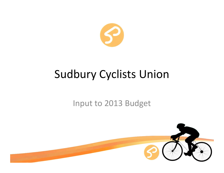

# Sudbury Cyclists Union

#### Input to 2013 Budget

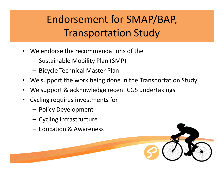# Endorsement for SMAP/BAP,Transportation Study

- • We endorse the recommendations of the
	- –— Sustainable Mobility Plan (SMP)
	- – $-$  Bicycle Technical Master Plan
- •We support the work being done in the Transportation Study
- •We support & acknowledge recent CGS undertakings
- • Cycling requires investments for
	- –— Policy Development
	- – $-$  Cycling Infrastructure
	- – $-$  Education & Awareness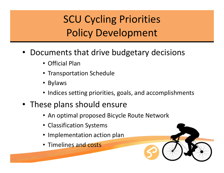# SCU Cycling PrioritiesPolicy Development

- • Documents that drive budgetary decisions
	- Official Plan
	- Transportation Schedule
	- Bylaws
	- Indices setting priorities, goals, and accomplishments
- These plans should ensure
	- An optimal proposed Bicycle Route Network
	- Classification Systems
	- Implementation action plan
	- Timelines and costs

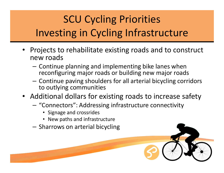# SCU Cycling PrioritiesInvesting in Cycling Infrastructure

- Projects to rehabilitate existing roads and to construct new roads
	- –- Continue planning and implementing bike lanes when reconfiguring major roads or building new major roads
	- –- Continue paving shoulders for all arterial bicycling corridors to outlying communities
- Additional dollars for existing roads to increase safety
	- –- "Connectors": Addressing infrastructure connectivity
		- Signage and crossrides
		- New paths and infrastructure
	- – $-$  Sharrows on arterial bicycling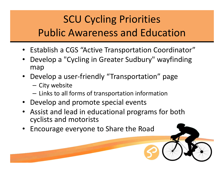## SCU Cycling Priorities Public Awareness and Education

- Establish a CGS "Active Transportation Coordinator"
- • Develop a "Cycling in Greater Sudbury" wayfindingmap
- Develop a user-friendly "Transportation" page
	- and the state of the – City website
	- – $-$  Links to all forms of transportation information
- Develop and promote special events
- Assist and lead in educational programs for both cyclists and motorists
- Encourage everyone to Share the Road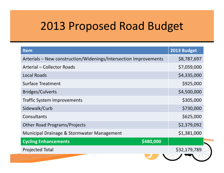## 2013 Proposed Road Budget

| <b>Item</b>                                                      | 2013 Budget  |
|------------------------------------------------------------------|--------------|
| Arterials - New construction/Widenings/Intersection Improvements | \$8,787,697  |
| <b>Arterial - Collector Roads</b>                                | \$7,059,000  |
| <b>Local Roads</b>                                               | \$4,335,000  |
| <b>Surface Treatment</b>                                         | \$925,000    |
| <b>Bridges/Culverts</b>                                          | \$4,500,000  |
| <b>Traffic System Improvements</b>                               | \$305,000    |
| Sidewalk/Curb                                                    | \$730,000    |
| Consultants                                                      | \$625,000    |
| <b>Other Road Programs/Projects</b>                              | \$2,379,092  |
| Municipal Drainage & Stormwater Management                       | \$1,381,000  |
| \$480,000<br><b>Cycling Enhancements</b>                         |              |
| <b>Projected Total</b>                                           | \$32,179,789 |
|                                                                  |              |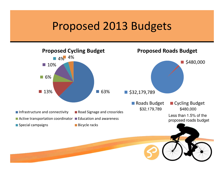#### Proposed 2013 Budgets